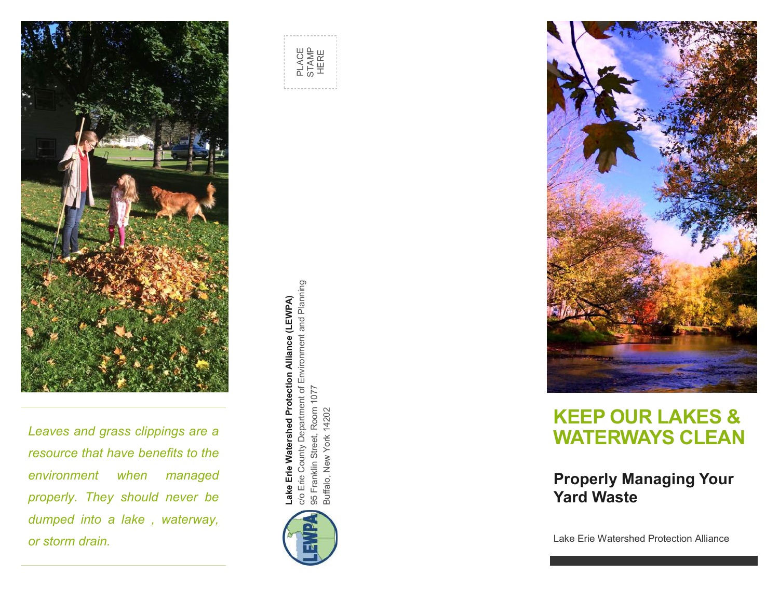

*Leaves and grass clippings are a resource that have benefits to the environment when managed properly. They should never be dumped into a lake , waterway, or storm drain.*







# **KEEP OUR LAKES & WATERWAYS CLEAN**

#### **Properly Managing Your Yard Waste**

Lake Erie Watershed Protection Alliance